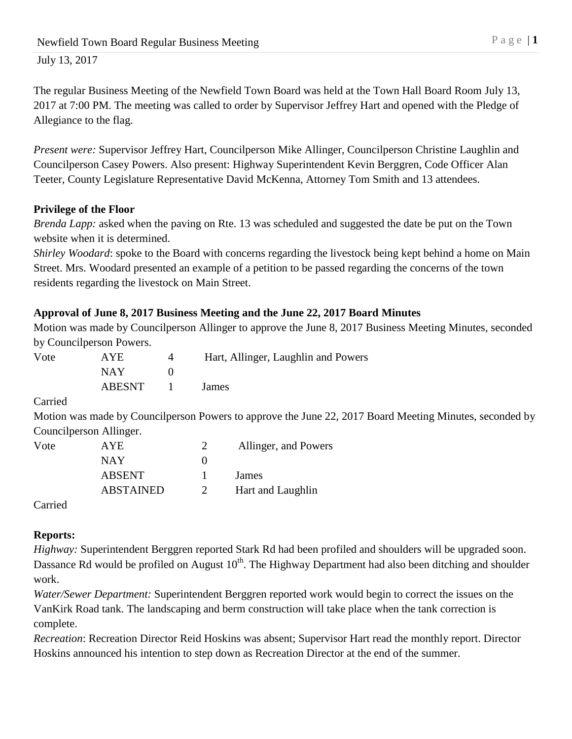The regular Business Meeting of the Newfield Town Board was held at the Town Hall Board Room July 13, 2017 at 7:00 PM. The meeting was called to order by Supervisor Jeffrey Hart and opened with the Pledge of Allegiance to the flag.

*Present were:* Supervisor Jeffrey Hart, Councilperson Mike Allinger, Councilperson Christine Laughlin and Councilperson Casey Powers. Also present: Highway Superintendent Kevin Berggren, Code Officer Alan Teeter, County Legislature Representative David McKenna, Attorney Tom Smith and 13 attendees.

## **Privilege of the Floor**

*Brenda Lapp:* asked when the paving on Rte. 13 was scheduled and suggested the date be put on the Town website when it is determined.

*Shirley Woodard*: spoke to the Board with concerns regarding the livestock being kept behind a home on Main Street. Mrs. Woodard presented an example of a petition to be passed regarding the concerns of the town residents regarding the livestock on Main Street.

## **Approval of June 8, 2017 Business Meeting and the June 22, 2017 Board Minutes**

Motion was made by Councilperson Allinger to approve the June 8, 2017 Business Meeting Minutes, seconded by Councilperson Powers.

| Vote | AYE.   | Hart, Allinger, Laughlin and Powers |
|------|--------|-------------------------------------|
|      | NAY.   |                                     |
|      | ABESNT | James                               |

Carried

Motion was made by Councilperson Powers to approve the June 22, 2017 Board Meeting Minutes, seconded by Councilperson Allinger.

| Vote | AYE.             | Allinger, and Powers |
|------|------------------|----------------------|
|      | NAY              |                      |
|      | <b>ABSENT</b>    | James                |
|      | <b>ABSTAINED</b> | Hart and Laughlin    |
|      |                  |                      |

Carried

# **Reports:**

*Highway:* Superintendent Berggren reported Stark Rd had been profiled and shoulders will be upgraded soon. Dassance Rd would be profiled on August  $10^{th}$ . The Highway Department had also been ditching and shoulder work.

*Water/Sewer Department:* Superintendent Berggren reported work would begin to correct the issues on the VanKirk Road tank. The landscaping and berm construction will take place when the tank correction is complete.

*Recreation*: Recreation Director Reid Hoskins was absent; Supervisor Hart read the monthly report. Director Hoskins announced his intention to step down as Recreation Director at the end of the summer.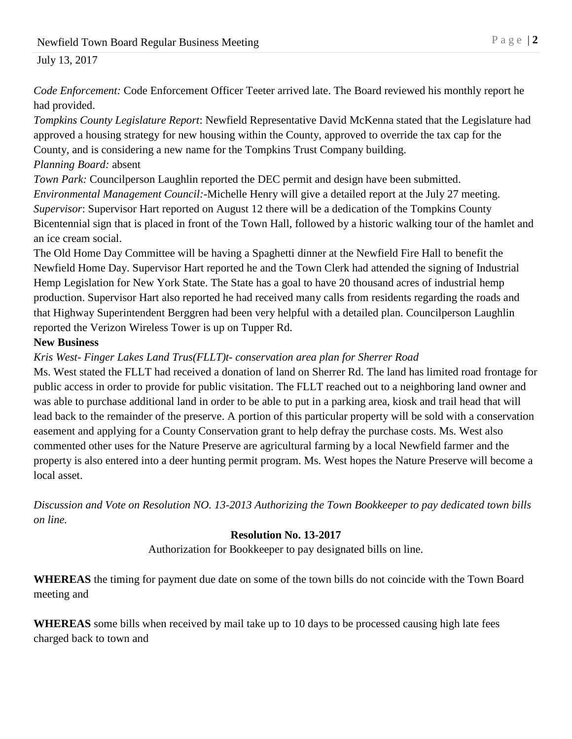*Code Enforcement:* Code Enforcement Officer Teeter arrived late. The Board reviewed his monthly report he had provided.

*Tompkins County Legislature Report*: Newfield Representative David McKenna stated that the Legislature had approved a housing strategy for new housing within the County, approved to override the tax cap for the County, and is considering a new name for the Tompkins Trust Company building.

*Planning Board:* absent

*Town Park:* Councilperson Laughlin reported the DEC permit and design have been submitted. *Environmental Management Council:-*Michelle Henry will give a detailed report at the July 27 meeting. *Supervisor*: Supervisor Hart reported on August 12 there will be a dedication of the Tompkins County Bicentennial sign that is placed in front of the Town Hall, followed by a historic walking tour of the hamlet and an ice cream social.

The Old Home Day Committee will be having a Spaghetti dinner at the Newfield Fire Hall to benefit the Newfield Home Day. Supervisor Hart reported he and the Town Clerk had attended the signing of Industrial Hemp Legislation for New York State. The State has a goal to have 20 thousand acres of industrial hemp production. Supervisor Hart also reported he had received many calls from residents regarding the roads and that Highway Superintendent Berggren had been very helpful with a detailed plan. Councilperson Laughlin reported the Verizon Wireless Tower is up on Tupper Rd.

### **New Business**

## *Kris West- Finger Lakes Land Trus(FLLT)t- conservation area plan for Sherrer Road*

Ms. West stated the FLLT had received a donation of land on Sherrer Rd. The land has limited road frontage for public access in order to provide for public visitation. The FLLT reached out to a neighboring land owner and was able to purchase additional land in order to be able to put in a parking area, kiosk and trail head that will lead back to the remainder of the preserve. A portion of this particular property will be sold with a conservation easement and applying for a County Conservation grant to help defray the purchase costs. Ms. West also commented other uses for the Nature Preserve are agricultural farming by a local Newfield farmer and the property is also entered into a deer hunting permit program. Ms. West hopes the Nature Preserve will become a local asset.

*Discussion and Vote on Resolution NO. 13-2013 Authorizing the Town Bookkeeper to pay dedicated town bills on line.*

#### **Resolution No. 13-2017**

Authorization for Bookkeeper to pay designated bills on line.

**WHEREAS** the timing for payment due date on some of the town bills do not coincide with the Town Board meeting and

**WHEREAS** some bills when received by mail take up to 10 days to be processed causing high late fees charged back to town and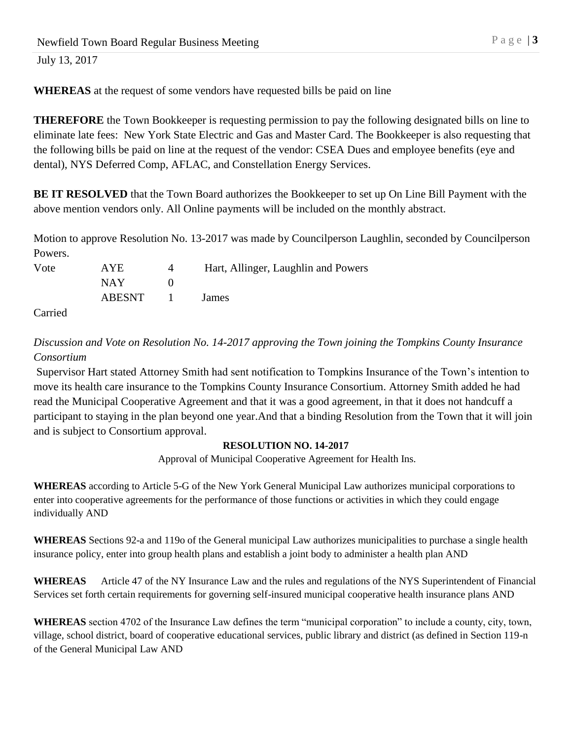**WHEREAS** at the request of some vendors have requested bills be paid on line

**THEREFORE** the Town Bookkeeper is requesting permission to pay the following designated bills on line to eliminate late fees: New York State Electric and Gas and Master Card. The Bookkeeper is also requesting that the following bills be paid on line at the request of the vendor: CSEA Dues and employee benefits (eye and dental), NYS Deferred Comp, AFLAC, and Constellation Energy Services.

**BE IT RESOLVED** that the Town Board authorizes the Bookkeeper to set up On Line Bill Payment with the above mention vendors only. All Online payments will be included on the monthly abstract.

Motion to approve Resolution No. 13-2017 was made by Councilperson Laughlin, seconded by Councilperson Powers.

| Vote | AYE.   |            | Hart, Allinger, Laughlin and Powers |
|------|--------|------------|-------------------------------------|
|      | NAY .  |            |                                     |
|      | ABESNT | and The Co | James                               |

Carried

*Discussion and Vote on Resolution No. 14-2017 approving the Town joining the Tompkins County Insurance Consortium*

Supervisor Hart stated Attorney Smith had sent notification to Tompkins Insurance of the Town's intention to move its health care insurance to the Tompkins County Insurance Consortium. Attorney Smith added he had read the Municipal Cooperative Agreement and that it was a good agreement, in that it does not handcuff a participant to staying in the plan beyond one year.And that a binding Resolution from the Town that it will join and is subject to Consortium approval.

#### **RESOLUTION NO. 14-2017**

Approval of Municipal Cooperative Agreement for Health Ins.

**WHEREAS** according to Article 5-G of the New York General Municipal Law authorizes municipal corporations to enter into cooperative agreements for the performance of those functions or activities in which they could engage individually AND

**WHEREAS** Sections 92-a and 119o of the General municipal Law authorizes municipalities to purchase a single health insurance policy, enter into group health plans and establish a joint body to administer a health plan AND

**WHEREAS** Article 47 of the NY Insurance Law and the rules and regulations of the NYS Superintendent of Financial Services set forth certain requirements for governing self-insured municipal cooperative health insurance plans AND

**WHEREAS** section 4702 of the Insurance Law defines the term "municipal corporation" to include a county, city, town, village, school district, board of cooperative educational services, public library and district (as defined in Section 119-n of the General Municipal Law AND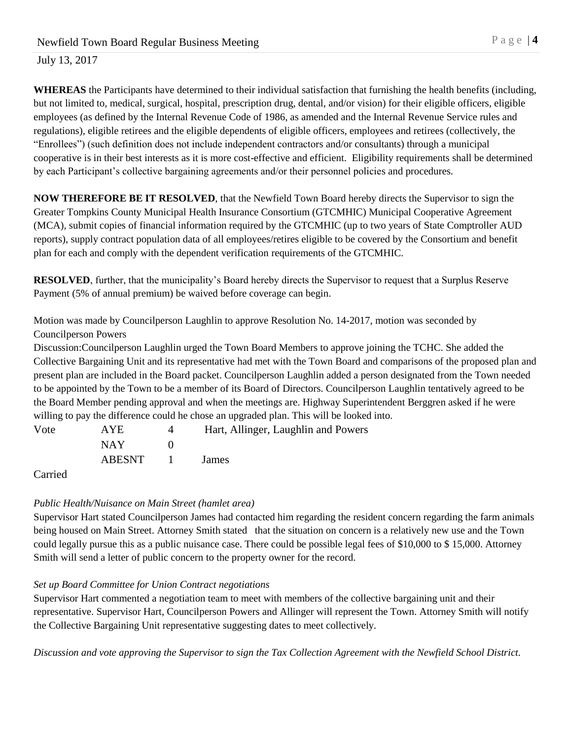**WHEREAS** the Participants have determined to their individual satisfaction that furnishing the health benefits (including, but not limited to, medical, surgical, hospital, prescription drug, dental, and/or vision) for their eligible officers, eligible employees (as defined by the Internal Revenue Code of 1986, as amended and the Internal Revenue Service rules and regulations), eligible retirees and the eligible dependents of eligible officers, employees and retirees (collectively, the "Enrollees") (such definition does not include independent contractors and/or consultants) through a municipal cooperative is in their best interests as it is more cost-effective and efficient. Eligibility requirements shall be determined by each Participant's collective bargaining agreements and/or their personnel policies and procedures.

**NOW THEREFORE BE IT RESOLVED**, that the Newfield Town Board hereby directs the Supervisor to sign the Greater Tompkins County Municipal Health Insurance Consortium (GTCMHIC) Municipal Cooperative Agreement (MCA), submit copies of financial information required by the GTCMHIC (up to two years of State Comptroller AUD reports), supply contract population data of all employees/retires eligible to be covered by the Consortium and benefit plan for each and comply with the dependent verification requirements of the GTCMHIC.

**RESOLVED**, further, that the municipality's Board hereby directs the Supervisor to request that a Surplus Reserve Payment (5% of annual premium) be waived before coverage can begin.

Motion was made by Councilperson Laughlin to approve Resolution No. 14-2017, motion was seconded by Councilperson Powers

Discussion:Councilperson Laughlin urged the Town Board Members to approve joining the TCHC. She added the Collective Bargaining Unit and its representative had met with the Town Board and comparisons of the proposed plan and present plan are included in the Board packet. Councilperson Laughlin added a person designated from the Town needed to be appointed by the Town to be a member of its Board of Directors. Councilperson Laughlin tentatively agreed to be the Board Member pending approval and when the meetings are. Highway Superintendent Berggren asked if he were willing to pay the difference could he chose an upgraded plan. This will be looked into.

| Vote | AYE.   | Hart, Allinger, Laughlin and Powers |
|------|--------|-------------------------------------|
|      | NAY    |                                     |
|      | ABESNT | James                               |

Carried

#### *Public Health/Nuisance on Main Street (hamlet area)*

Supervisor Hart stated Councilperson James had contacted him regarding the resident concern regarding the farm animals being housed on Main Street. Attorney Smith stated that the situation on concern is a relatively new use and the Town could legally pursue this as a public nuisance case. There could be possible legal fees of \$10,000 to \$ 15,000. Attorney Smith will send a letter of public concern to the property owner for the record.

#### *Set up Board Committee for Union Contract negotiations*

Supervisor Hart commented a negotiation team to meet with members of the collective bargaining unit and their representative. Supervisor Hart, Councilperson Powers and Allinger will represent the Town. Attorney Smith will notify the Collective Bargaining Unit representative suggesting dates to meet collectively.

*Discussion and vote approving the Supervisor to sign the Tax Collection Agreement with the Newfield School District.*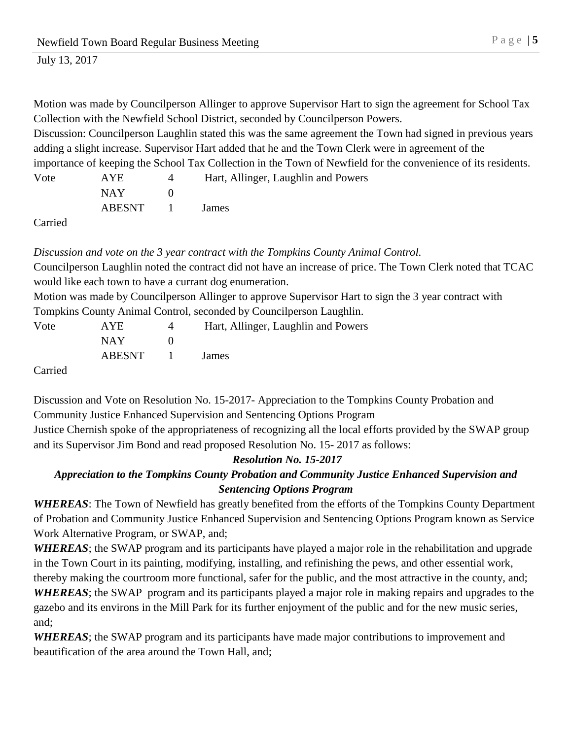Motion was made by Councilperson Allinger to approve Supervisor Hart to sign the agreement for School Tax Collection with the Newfield School District, seconded by Councilperson Powers.

Discussion: Councilperson Laughlin stated this was the same agreement the Town had signed in previous years adding a slight increase. Supervisor Hart added that he and the Town Clerk were in agreement of the

importance of keeping the School Tax Collection in the Town of Newfield for the convenience of its residents.

| Vote | AYE           | Hart, Allinger, Laughlin and Powers |
|------|---------------|-------------------------------------|
|      | NAY           |                                     |
|      | <b>ABESNT</b> | James                               |

Carried

*Discussion and vote on the 3 year contract with the Tompkins County Animal Control.* Councilperson Laughlin noted the contract did not have an increase of price. The Town Clerk noted that TCAC would like each town to have a currant dog enumeration. Motion was made by Councilperson Allinger to approve Supervisor Hart to sign the 3 year contract with Tompkins County Animal Control, seconded by Councilperson Laughlin. Vote AYE 4 Hart, Allinger, Laughlin and Powers

|         | NAY -          |  |  |
|---------|----------------|--|--|
|         | ABESNT 1 James |  |  |
| Carried |                |  |  |

Discussion and Vote on Resolution No. 15-2017- Appreciation to the Tompkins County Probation and Community Justice Enhanced Supervision and Sentencing Options Program Justice Chernish spoke of the appropriateness of recognizing all the local efforts provided by the SWAP group and its Supervisor Jim Bond and read proposed Resolution No. 15- 2017 as follows:

## *Resolution No. 15-2017*

# *Appreciation to the Tompkins County Probation and Community Justice Enhanced Supervision and Sentencing Options Program*

*WHEREAS*: The Town of Newfield has greatly benefited from the efforts of the Tompkins County Department of Probation and Community Justice Enhanced Supervision and Sentencing Options Program known as Service Work Alternative Program, or SWAP, and;

*WHEREAS*; the SWAP program and its participants have played a major role in the rehabilitation and upgrade in the Town Court in its painting, modifying, installing, and refinishing the pews, and other essential work, thereby making the courtroom more functional, safer for the public, and the most attractive in the county, and; *WHEREAS*; the SWAP program and its participants played a major role in making repairs and upgrades to the gazebo and its environs in the Mill Park for its further enjoyment of the public and for the new music series, and;

*WHEREAS*; the SWAP program and its participants have made major contributions to improvement and beautification of the area around the Town Hall, and;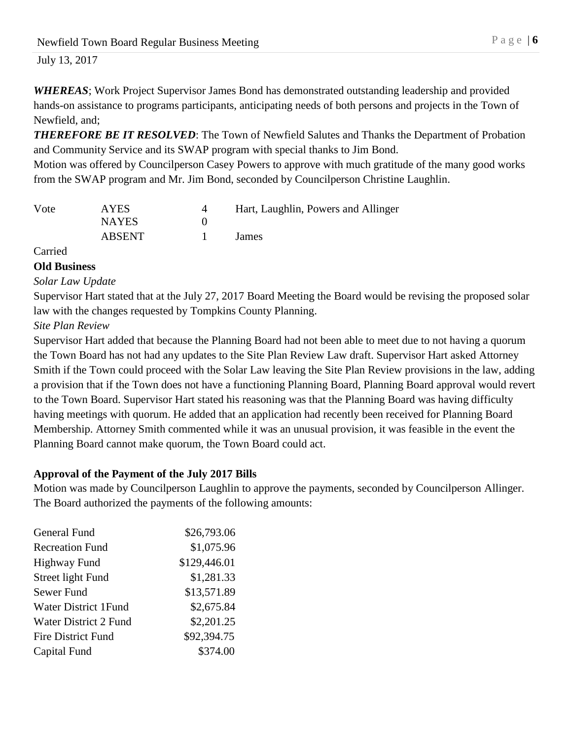*WHEREAS*; Work Project Supervisor James Bond has demonstrated outstanding leadership and provided hands-on assistance to programs participants, anticipating needs of both persons and projects in the Town of Newfield, and;

*THEREFORE BE IT RESOLVED*: The Town of Newfield Salutes and Thanks the Department of Probation and Community Service and its SWAP program with special thanks to Jim Bond.

Motion was offered by Councilperson Casey Powers to approve with much gratitude of the many good works from the SWAP program and Mr. Jim Bond, seconded by Councilperson Christine Laughlin.

| Vote | <b>AYES</b>   | Hart, Laughlin, Powers and Allinger |
|------|---------------|-------------------------------------|
|      | <b>NAYES</b>  |                                     |
|      | <b>ABSENT</b> | James                               |

Carried

### **Old Business**

*Solar Law Update*

Supervisor Hart stated that at the July 27, 2017 Board Meeting the Board would be revising the proposed solar law with the changes requested by Tompkins County Planning.

## *Site Plan Review*

Supervisor Hart added that because the Planning Board had not been able to meet due to not having a quorum the Town Board has not had any updates to the Site Plan Review Law draft. Supervisor Hart asked Attorney Smith if the Town could proceed with the Solar Law leaving the Site Plan Review provisions in the law, adding a provision that if the Town does not have a functioning Planning Board, Planning Board approval would revert to the Town Board. Supervisor Hart stated his reasoning was that the Planning Board was having difficulty having meetings with quorum. He added that an application had recently been received for Planning Board Membership. Attorney Smith commented while it was an unusual provision, it was feasible in the event the Planning Board cannot make quorum, the Town Board could act.

## **Approval of the Payment of the July 2017 Bills**

Motion was made by Councilperson Laughlin to approve the payments, seconded by Councilperson Allinger. The Board authorized the payments of the following amounts:

| General Fund                 | \$26,793.06  |
|------------------------------|--------------|
| <b>Recreation Fund</b>       | \$1,075.96   |
| <b>Highway Fund</b>          | \$129,446.01 |
| Street light Fund            | \$1,281.33   |
| Sewer Fund                   | \$13,571.89  |
| Water District 1 Fund        | \$2,675.84   |
| <b>Water District 2 Fund</b> | \$2,201.25   |
| <b>Fire District Fund</b>    | \$92,394.75  |
| Capital Fund                 | \$374.00     |